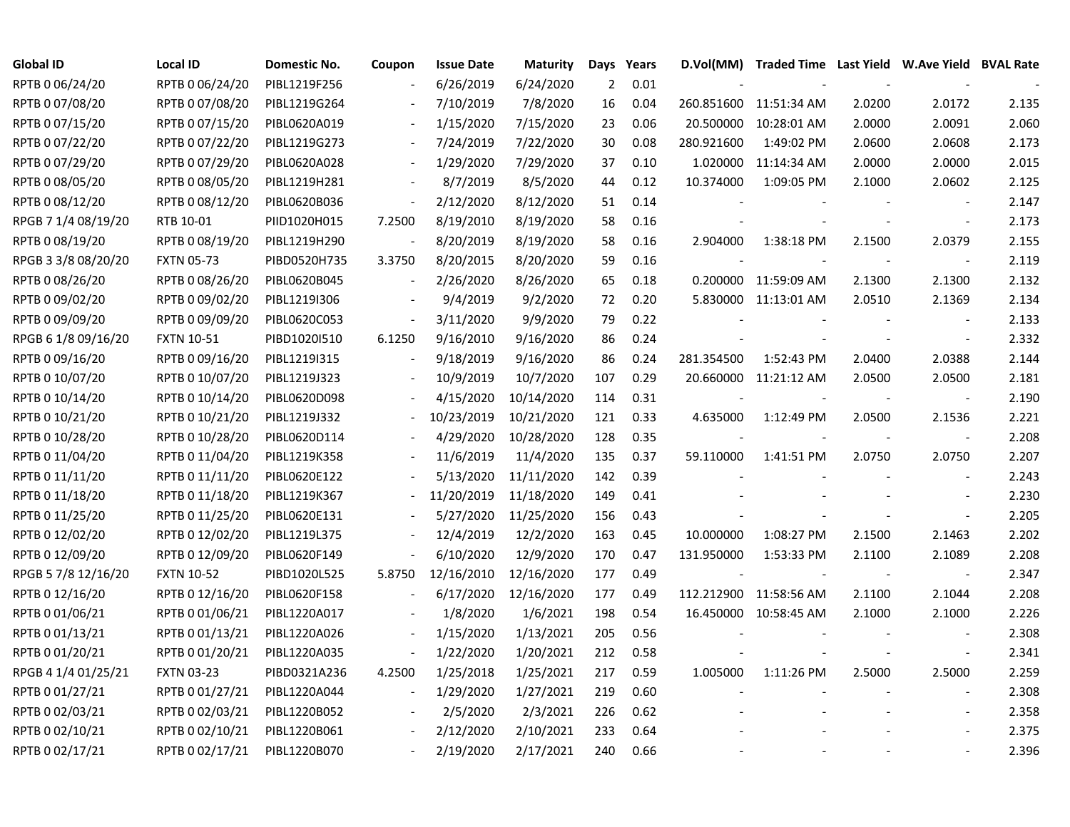| Global ID           | <b>Local ID</b>   | Domestic No. | Coupon                   | <b>Issue Date</b> | <b>Maturity</b> | Days | Years |            | D.Vol(MM) Traded Time Last Yield W.Ave Yield BVAL Rate |        |                          |       |
|---------------------|-------------------|--------------|--------------------------|-------------------|-----------------|------|-------|------------|--------------------------------------------------------|--------|--------------------------|-------|
| RPTB 0 06/24/20     | RPTB 0 06/24/20   | PIBL1219F256 |                          | 6/26/2019         | 6/24/2020       | 2    | 0.01  |            |                                                        |        |                          |       |
| RPTB 0 07/08/20     | RPTB 0 07/08/20   | PIBL1219G264 |                          | 7/10/2019         | 7/8/2020        | 16   | 0.04  |            | 260.851600 11:51:34 AM                                 | 2.0200 | 2.0172                   | 2.135 |
| RPTB 0 07/15/20     | RPTB 0 07/15/20   | PIBL0620A019 |                          | 1/15/2020         | 7/15/2020       | 23   | 0.06  | 20.500000  | 10:28:01 AM                                            | 2.0000 | 2.0091                   | 2.060 |
| RPTB 0 07/22/20     | RPTB 0 07/22/20   | PIBL1219G273 |                          | 7/24/2019         | 7/22/2020       | 30   | 0.08  | 280.921600 | 1:49:02 PM                                             | 2.0600 | 2.0608                   | 2.173 |
| RPTB 0 07/29/20     | RPTB 0 07/29/20   | PIBL0620A028 | $\overline{\phantom{a}}$ | 1/29/2020         | 7/29/2020       | 37   | 0.10  | 1.020000   | 11:14:34 AM                                            | 2.0000 | 2.0000                   | 2.015 |
| RPTB 0 08/05/20     | RPTB 0 08/05/20   | PIBL1219H281 |                          | 8/7/2019          | 8/5/2020        | 44   | 0.12  | 10.374000  | 1:09:05 PM                                             | 2.1000 | 2.0602                   | 2.125 |
| RPTB 0 08/12/20     | RPTB 0 08/12/20   | PIBL0620B036 | $\blacksquare$           | 2/12/2020         | 8/12/2020       | 51   | 0.14  |            |                                                        |        |                          | 2.147 |
| RPGB 7 1/4 08/19/20 | RTB 10-01         | PIID1020H015 | 7.2500                   | 8/19/2010         | 8/19/2020       | 58   | 0.16  |            |                                                        |        |                          | 2.173 |
| RPTB 0 08/19/20     | RPTB 0 08/19/20   | PIBL1219H290 |                          | 8/20/2019         | 8/19/2020       | 58   | 0.16  | 2.904000   | 1:38:18 PM                                             | 2.1500 | 2.0379                   | 2.155 |
| RPGB 3 3/8 08/20/20 | <b>FXTN 05-73</b> | PIBD0520H735 | 3.3750                   | 8/20/2015         | 8/20/2020       | 59   | 0.16  |            |                                                        | $\sim$ | $\sim$                   | 2.119 |
| RPTB 0 08/26/20     | RPTB 0 08/26/20   | PIBL0620B045 | $\sim$                   | 2/26/2020         | 8/26/2020       | 65   | 0.18  |            | 0.200000 11:59:09 AM                                   | 2.1300 | 2.1300                   | 2.132 |
| RPTB 0 09/02/20     | RPTB 0 09/02/20   | PIBL1219I306 | $\overline{\phantom{a}}$ | 9/4/2019          | 9/2/2020        | 72   | 0.20  |            | 5.830000 11:13:01 AM                                   | 2.0510 | 2.1369                   | 2.134 |
| RPTB 0 09/09/20     | RPTB 0 09/09/20   | PIBL0620C053 | $\blacksquare$           | 3/11/2020         | 9/9/2020        | 79   | 0.22  |            |                                                        |        |                          | 2.133 |
| RPGB 6 1/8 09/16/20 | <b>FXTN 10-51</b> | PIBD1020I510 | 6.1250                   | 9/16/2010         | 9/16/2020       | 86   | 0.24  |            |                                                        |        |                          | 2.332 |
| RPTB 0 09/16/20     | RPTB 0 09/16/20   | PIBL1219I315 | $\overline{\phantom{a}}$ | 9/18/2019         | 9/16/2020       | 86   | 0.24  | 281.354500 | 1:52:43 PM                                             | 2.0400 | 2.0388                   | 2.144 |
| RPTB 0 10/07/20     | RPTB 0 10/07/20   | PIBL1219J323 |                          | 10/9/2019         | 10/7/2020       | 107  | 0.29  |            | 20.660000 11:21:12 AM                                  | 2.0500 | 2.0500                   | 2.181 |
| RPTB 0 10/14/20     | RPTB 0 10/14/20   | PIBL0620D098 |                          | 4/15/2020         | 10/14/2020      | 114  | 0.31  |            |                                                        |        |                          | 2.190 |
| RPTB 0 10/21/20     | RPTB 0 10/21/20   | PIBL1219J332 |                          | 10/23/2019        | 10/21/2020      | 121  | 0.33  | 4.635000   | 1:12:49 PM                                             | 2.0500 | 2.1536                   | 2.221 |
| RPTB 0 10/28/20     | RPTB 0 10/28/20   | PIBL0620D114 | $\blacksquare$           | 4/29/2020         | 10/28/2020      | 128  | 0.35  |            |                                                        |        | $\blacksquare$           | 2.208 |
| RPTB 0 11/04/20     | RPTB 0 11/04/20   | PIBL1219K358 |                          | 11/6/2019         | 11/4/2020       | 135  | 0.37  | 59.110000  | 1:41:51 PM                                             | 2.0750 | 2.0750                   | 2.207 |
| RPTB 0 11/11/20     | RPTB 0 11/11/20   | PIBL0620E122 |                          | 5/13/2020         | 11/11/2020      | 142  | 0.39  |            |                                                        |        |                          | 2.243 |
| RPTB 0 11/18/20     | RPTB 0 11/18/20   | PIBL1219K367 |                          | 11/20/2019        | 11/18/2020      | 149  | 0.41  |            |                                                        |        |                          | 2.230 |
| RPTB 0 11/25/20     | RPTB 0 11/25/20   | PIBL0620E131 |                          | 5/27/2020         | 11/25/2020      | 156  | 0.43  |            |                                                        |        |                          | 2.205 |
| RPTB 0 12/02/20     | RPTB 0 12/02/20   | PIBL1219L375 | $\overline{\phantom{a}}$ | 12/4/2019         | 12/2/2020       | 163  | 0.45  | 10.000000  | 1:08:27 PM                                             | 2.1500 | 2.1463                   | 2.202 |
| RPTB 0 12/09/20     | RPTB 0 12/09/20   | PIBL0620F149 | $\overline{\phantom{a}}$ | 6/10/2020         | 12/9/2020       | 170  | 0.47  | 131.950000 | 1:53:33 PM                                             | 2.1100 | 2.1089                   | 2.208 |
| RPGB 5 7/8 12/16/20 | <b>FXTN 10-52</b> | PIBD1020L525 | 5.8750                   | 12/16/2010        | 12/16/2020      | 177  | 0.49  |            |                                                        |        |                          | 2.347 |
| RPTB 0 12/16/20     | RPTB 0 12/16/20   | PIBL0620F158 |                          | 6/17/2020         | 12/16/2020      | 177  | 0.49  |            | 112.212900 11:58:56 AM                                 | 2.1100 | 2.1044                   | 2.208 |
| RPTB 0 01/06/21     | RPTB 0 01/06/21   | PIBL1220A017 |                          | 1/8/2020          | 1/6/2021        | 198  | 0.54  |            | 16.450000 10:58:45 AM                                  | 2.1000 | 2.1000                   | 2.226 |
| RPTB 0 01/13/21     | RPTB 0 01/13/21   | PIBL1220A026 |                          | 1/15/2020         | 1/13/2021       | 205  | 0.56  |            |                                                        |        |                          | 2.308 |
| RPTB 0 01/20/21     | RPTB 0 01/20/21   | PIBL1220A035 |                          | 1/22/2020         | 1/20/2021       | 212  | 0.58  |            |                                                        |        |                          | 2.341 |
| RPGB 4 1/4 01/25/21 | <b>FXTN 03-23</b> | PIBD0321A236 | 4.2500                   | 1/25/2018         | 1/25/2021       | 217  | 0.59  | 1.005000   | 1:11:26 PM                                             | 2.5000 | 2.5000                   | 2.259 |
| RPTB 0 01/27/21     | RPTB 0 01/27/21   | PIBL1220A044 |                          | 1/29/2020         | 1/27/2021       | 219  | 0.60  |            |                                                        |        | $\overline{\phantom{a}}$ | 2.308 |
| RPTB 0 02/03/21     | RPTB 0 02/03/21   | PIBL1220B052 |                          | 2/5/2020          | 2/3/2021        | 226  | 0.62  |            |                                                        |        |                          | 2.358 |
| RPTB 0 02/10/21     | RPTB 0 02/10/21   | PIBL1220B061 | $\overline{\phantom{a}}$ | 2/12/2020         | 2/10/2021       | 233  | 0.64  |            |                                                        |        |                          | 2.375 |
| RPTB 0 02/17/21     | RPTB 0 02/17/21   | PIBL1220B070 |                          | 2/19/2020         | 2/17/2021       | 240  | 0.66  |            |                                                        |        |                          | 2.396 |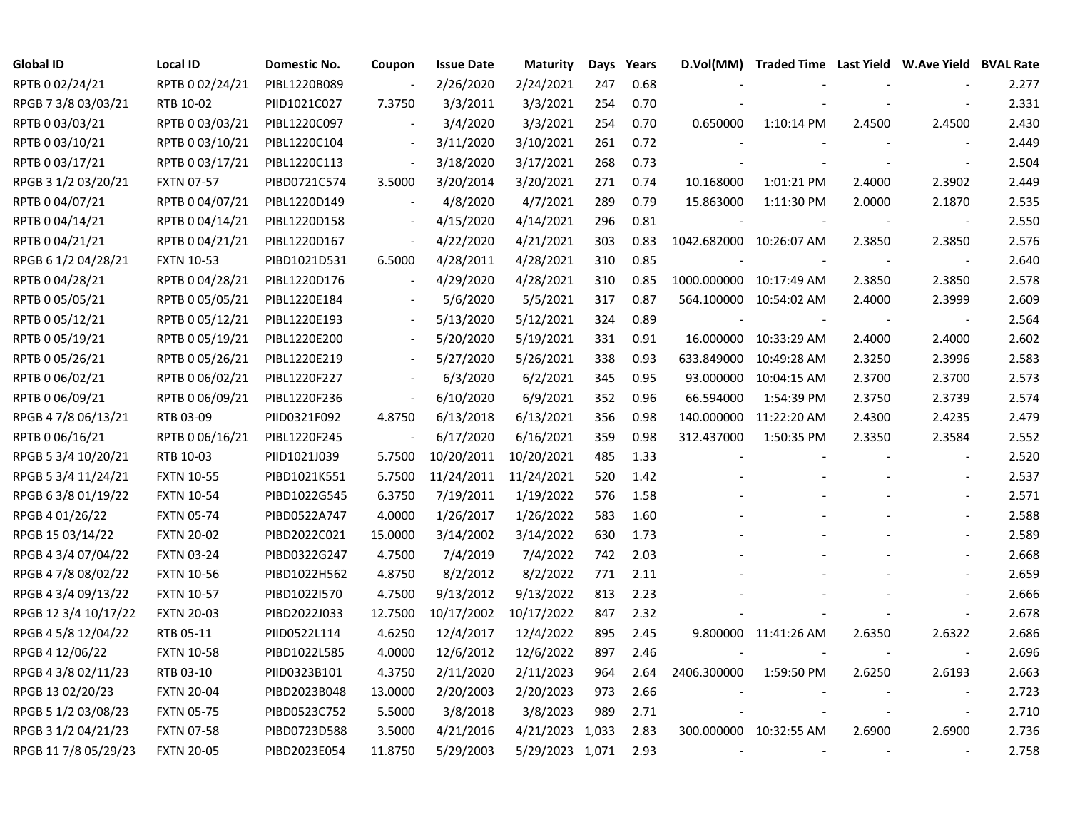| <b>Global ID</b>     | <b>Local ID</b>   | Domestic No. | Coupon                   | <b>Issue Date</b> | <b>Maturity</b> | Days | Years |                          | D.Vol(MM) Traded Time Last Yield W.Ave Yield BVAL Rate |        |                          |       |
|----------------------|-------------------|--------------|--------------------------|-------------------|-----------------|------|-------|--------------------------|--------------------------------------------------------|--------|--------------------------|-------|
| RPTB 0 02/24/21      | RPTB 0 02/24/21   | PIBL1220B089 |                          | 2/26/2020         | 2/24/2021       | 247  | 0.68  |                          |                                                        |        |                          | 2.277 |
| RPGB 7 3/8 03/03/21  | RTB 10-02         | PIID1021C027 | 7.3750                   | 3/3/2011          | 3/3/2021        | 254  | 0.70  |                          |                                                        |        |                          | 2.331 |
| RPTB 0 03/03/21      | RPTB 0 03/03/21   | PIBL1220C097 |                          | 3/4/2020          | 3/3/2021        | 254  | 0.70  | 0.650000                 | 1:10:14 PM                                             | 2.4500 | 2.4500                   | 2.430 |
| RPTB 0 03/10/21      | RPTB 0 03/10/21   | PIBL1220C104 | $\overline{\phantom{a}}$ | 3/11/2020         | 3/10/2021       | 261  | 0.72  |                          |                                                        |        |                          | 2.449 |
| RPTB 0 03/17/21      | RPTB 0 03/17/21   | PIBL1220C113 | $\overline{\phantom{a}}$ | 3/18/2020         | 3/17/2021       | 268  | 0.73  |                          |                                                        |        |                          | 2.504 |
| RPGB 3 1/2 03/20/21  | <b>FXTN 07-57</b> | PIBD0721C574 | 3.5000                   | 3/20/2014         | 3/20/2021       | 271  | 0.74  | 10.168000                | 1:01:21 PM                                             | 2.4000 | 2.3902                   | 2.449 |
| RPTB 0 04/07/21      | RPTB 0 04/07/21   | PIBL1220D149 | $\overline{\phantom{a}}$ | 4/8/2020          | 4/7/2021        | 289  | 0.79  | 15.863000                | 1:11:30 PM                                             | 2.0000 | 2.1870                   | 2.535 |
| RPTB 0 04/14/21      | RPTB 0 04/14/21   | PIBL1220D158 | $\sim$                   | 4/15/2020         | 4/14/2021       | 296  | 0.81  |                          |                                                        |        |                          | 2.550 |
| RPTB 0 04/21/21      | RPTB 0 04/21/21   | PIBL1220D167 | $\blacksquare$           | 4/22/2020         | 4/21/2021       | 303  | 0.83  |                          | 1042.682000 10:26:07 AM                                | 2.3850 | 2.3850                   | 2.576 |
| RPGB 6 1/2 04/28/21  | <b>FXTN 10-53</b> | PIBD1021D531 | 6.5000                   | 4/28/2011         | 4/28/2021       | 310  | 0.85  |                          |                                                        |        | $\overline{\phantom{a}}$ | 2.640 |
| RPTB 0 04/28/21      | RPTB 0 04/28/21   | PIBL1220D176 | $\blacksquare$           | 4/29/2020         | 4/28/2021       | 310  | 0.85  |                          | 1000.000000 10:17:49 AM                                | 2.3850 | 2.3850                   | 2.578 |
| RPTB 0 05/05/21      | RPTB 0 05/05/21   | PIBL1220E184 |                          | 5/6/2020          | 5/5/2021        | 317  | 0.87  |                          | 564.100000 10:54:02 AM                                 | 2.4000 | 2.3999                   | 2.609 |
| RPTB 0 05/12/21      | RPTB 0 05/12/21   | PIBL1220E193 | $\overline{\phantom{a}}$ | 5/13/2020         | 5/12/2021       | 324  | 0.89  |                          |                                                        |        | $\overline{\phantom{a}}$ | 2.564 |
| RPTB 0 05/19/21      | RPTB 0 05/19/21   | PIBL1220E200 |                          | 5/20/2020         | 5/19/2021       | 331  | 0.91  |                          | 16.000000 10:33:29 AM                                  | 2.4000 | 2.4000                   | 2.602 |
| RPTB 0 05/26/21      | RPTB 0 05/26/21   | PIBL1220E219 |                          | 5/27/2020         | 5/26/2021       | 338  | 0.93  | 633.849000               | 10:49:28 AM                                            | 2.3250 | 2.3996                   | 2.583 |
| RPTB 0 06/02/21      | RPTB 0 06/02/21   | PIBL1220F227 |                          | 6/3/2020          | 6/2/2021        | 345  | 0.95  | 93.000000                | 10:04:15 AM                                            | 2.3700 | 2.3700                   | 2.573 |
| RPTB 0 06/09/21      | RPTB 0 06/09/21   | PIBL1220F236 | $\overline{\phantom{a}}$ | 6/10/2020         | 6/9/2021        | 352  | 0.96  | 66.594000                | 1:54:39 PM                                             | 2.3750 | 2.3739                   | 2.574 |
| RPGB 4 7/8 06/13/21  | RTB 03-09         | PIID0321F092 | 4.8750                   | 6/13/2018         | 6/13/2021       | 356  | 0.98  | 140.000000               | 11:22:20 AM                                            | 2.4300 | 2.4235                   | 2.479 |
| RPTB 0 06/16/21      | RPTB 0 06/16/21   | PIBL1220F245 |                          | 6/17/2020         | 6/16/2021       | 359  | 0.98  | 312.437000               | 1:50:35 PM                                             | 2.3350 | 2.3584                   | 2.552 |
| RPGB 5 3/4 10/20/21  | RTB 10-03         | PIID1021J039 | 5.7500                   | 10/20/2011        | 10/20/2021      | 485  | 1.33  |                          |                                                        |        | $\overline{\phantom{a}}$ | 2.520 |
| RPGB 5 3/4 11/24/21  | <b>FXTN 10-55</b> | PIBD1021K551 | 5.7500                   | 11/24/2011        | 11/24/2021      | 520  | 1.42  |                          |                                                        |        |                          | 2.537 |
| RPGB 6 3/8 01/19/22  | <b>FXTN 10-54</b> | PIBD1022G545 | 6.3750                   | 7/19/2011         | 1/19/2022       | 576  | 1.58  |                          |                                                        |        |                          | 2.571 |
| RPGB 4 01/26/22      | <b>FXTN 05-74</b> | PIBD0522A747 | 4.0000                   | 1/26/2017         | 1/26/2022       | 583  | 1.60  |                          |                                                        |        | $\blacksquare$           | 2.588 |
| RPGB 15 03/14/22     | <b>FXTN 20-02</b> | PIBD2022C021 | 15.0000                  | 3/14/2002         | 3/14/2022       | 630  | 1.73  |                          |                                                        |        | $\overline{\phantom{a}}$ | 2.589 |
| RPGB 4 3/4 07/04/22  | <b>FXTN 03-24</b> | PIBD0322G247 | 4.7500                   | 7/4/2019          | 7/4/2022        | 742  | 2.03  |                          |                                                        |        | $\overline{\phantom{a}}$ | 2.668 |
| RPGB 4 7/8 08/02/22  | <b>FXTN 10-56</b> | PIBD1022H562 | 4.8750                   | 8/2/2012          | 8/2/2022        | 771  | 2.11  |                          |                                                        |        |                          | 2.659 |
| RPGB 4 3/4 09/13/22  | <b>FXTN 10-57</b> | PIBD1022I570 | 4.7500                   | 9/13/2012         | 9/13/2022       | 813  | 2.23  |                          |                                                        |        | $\overline{a}$           | 2.666 |
| RPGB 12 3/4 10/17/22 | <b>FXTN 20-03</b> | PIBD2022J033 | 12.7500                  | 10/17/2002        | 10/17/2022      | 847  | 2.32  |                          |                                                        |        |                          | 2.678 |
| RPGB 4 5/8 12/04/22  | RTB 05-11         | PIID0522L114 | 4.6250                   | 12/4/2017         | 12/4/2022       | 895  | 2.45  |                          | 9.800000 11:41:26 AM                                   | 2.6350 | 2.6322                   | 2.686 |
| RPGB 4 12/06/22      | <b>FXTN 10-58</b> | PIBD1022L585 | 4.0000                   | 12/6/2012         | 12/6/2022       | 897  | 2.46  |                          |                                                        |        | $\overline{\phantom{a}}$ | 2.696 |
| RPGB 4 3/8 02/11/23  | RTB 03-10         | PIID0323B101 | 4.3750                   | 2/11/2020         | 2/11/2023       | 964  | 2.64  | 2406.300000              | 1:59:50 PM                                             | 2.6250 | 2.6193                   | 2.663 |
| RPGB 13 02/20/23     | <b>FXTN 20-04</b> | PIBD2023B048 | 13.0000                  | 2/20/2003         | 2/20/2023       | 973  | 2.66  |                          |                                                        |        | $\blacksquare$           | 2.723 |
| RPGB 5 1/2 03/08/23  | <b>FXTN 05-75</b> | PIBD0523C752 | 5.5000                   | 3/8/2018          | 3/8/2023        | 989  | 2.71  |                          |                                                        |        | $\overline{\phantom{a}}$ | 2.710 |
| RPGB 3 1/2 04/21/23  | <b>FXTN 07-58</b> | PIBD0723D588 | 3.5000                   | 4/21/2016         | 4/21/2023 1,033 |      | 2.83  |                          | 300.000000 10:32:55 AM                                 | 2.6900 | 2.6900                   | 2.736 |
| RPGB 11 7/8 05/29/23 | <b>FXTN 20-05</b> | PIBD2023E054 | 11.8750                  | 5/29/2003         | 5/29/2023 1,071 |      | 2.93  | $\overline{\phantom{a}}$ |                                                        |        |                          | 2.758 |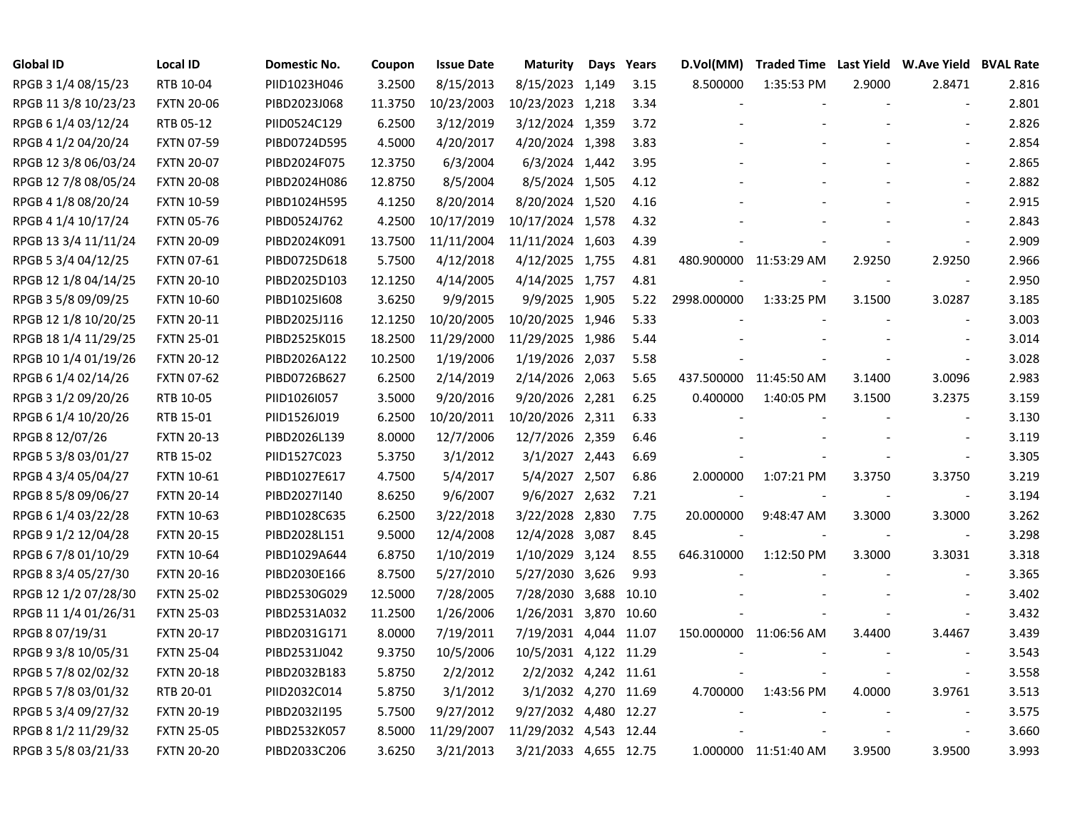| <b>Global ID</b>     | <b>Local ID</b>   | Domestic No. | Coupon  | <b>Issue Date</b> | <b>Maturity</b>        | Days | Years | D.Vol(MM)   |                        |        | Traded Time Last Yield W.Ave Yield BVAL Rate |       |
|----------------------|-------------------|--------------|---------|-------------------|------------------------|------|-------|-------------|------------------------|--------|----------------------------------------------|-------|
| RPGB 3 1/4 08/15/23  | RTB 10-04         | PIID1023H046 | 3.2500  | 8/15/2013         | 8/15/2023 1,149        |      | 3.15  | 8.500000    | 1:35:53 PM             | 2.9000 | 2.8471                                       | 2.816 |
| RPGB 11 3/8 10/23/23 | <b>FXTN 20-06</b> | PIBD2023J068 | 11.3750 | 10/23/2003        | 10/23/2023 1,218       |      | 3.34  |             |                        |        |                                              | 2.801 |
| RPGB 6 1/4 03/12/24  | RTB 05-12         | PIID0524C129 | 6.2500  | 3/12/2019         | 3/12/2024 1,359        |      | 3.72  |             |                        |        |                                              | 2.826 |
| RPGB 4 1/2 04/20/24  | <b>FXTN 07-59</b> | PIBD0724D595 | 4.5000  | 4/20/2017         | 4/20/2024 1,398        |      | 3.83  |             |                        |        | $\overline{\phantom{a}}$                     | 2.854 |
| RPGB 12 3/8 06/03/24 | <b>FXTN 20-07</b> | PIBD2024F075 | 12.3750 | 6/3/2004          | 6/3/2024 1,442         |      | 3.95  |             |                        |        | $\overline{\phantom{a}}$                     | 2.865 |
| RPGB 12 7/8 08/05/24 | <b>FXTN 20-08</b> | PIBD2024H086 | 12.8750 | 8/5/2004          | 8/5/2024 1,505         |      | 4.12  |             |                        |        | $\blacksquare$                               | 2.882 |
| RPGB 4 1/8 08/20/24  | <b>FXTN 10-59</b> | PIBD1024H595 | 4.1250  | 8/20/2014         | 8/20/2024 1,520        |      | 4.16  |             |                        |        | $\overline{\phantom{a}}$                     | 2.915 |
| RPGB 4 1/4 10/17/24  | <b>FXTN 05-76</b> | PIBD0524J762 | 4.2500  | 10/17/2019        | 10/17/2024 1,578       |      | 4.32  |             |                        |        |                                              | 2.843 |
| RPGB 13 3/4 11/11/24 | <b>FXTN 20-09</b> | PIBD2024K091 | 13.7500 | 11/11/2004        | 11/11/2024 1,603       |      | 4.39  |             |                        |        | $\sim$                                       | 2.909 |
| RPGB 5 3/4 04/12/25  | <b>FXTN 07-61</b> | PIBD0725D618 | 5.7500  | 4/12/2018         | 4/12/2025 1,755        |      | 4.81  |             | 480.900000 11:53:29 AM | 2.9250 | 2.9250                                       | 2.966 |
| RPGB 12 1/8 04/14/25 | <b>FXTN 20-10</b> | PIBD2025D103 | 12.1250 | 4/14/2005         | 4/14/2025 1,757        |      | 4.81  |             |                        |        | $\overline{\phantom{a}}$                     | 2.950 |
| RPGB 3 5/8 09/09/25  | <b>FXTN 10-60</b> | PIBD1025I608 | 3.6250  | 9/9/2015          | 9/9/2025 1,905         |      | 5.22  | 2998.000000 | 1:33:25 PM             | 3.1500 | 3.0287                                       | 3.185 |
| RPGB 12 1/8 10/20/25 | <b>FXTN 20-11</b> | PIBD2025J116 | 12.1250 | 10/20/2005        | 10/20/2025 1,946       |      | 5.33  |             |                        |        | $\sim$                                       | 3.003 |
| RPGB 18 1/4 11/29/25 | <b>FXTN 25-01</b> | PIBD2525K015 | 18.2500 | 11/29/2000        | 11/29/2025 1,986       |      | 5.44  |             |                        |        |                                              | 3.014 |
| RPGB 10 1/4 01/19/26 | <b>FXTN 20-12</b> | PIBD2026A122 | 10.2500 | 1/19/2006         | 1/19/2026 2,037        |      | 5.58  |             |                        |        |                                              | 3.028 |
| RPGB 6 1/4 02/14/26  | <b>FXTN 07-62</b> | PIBD0726B627 | 6.2500  | 2/14/2019         | 2/14/2026 2,063        |      | 5.65  |             | 437.500000 11:45:50 AM | 3.1400 | 3.0096                                       | 2.983 |
| RPGB 3 1/2 09/20/26  | RTB 10-05         | PIID1026I057 | 3.5000  | 9/20/2016         | 9/20/2026 2,281        |      | 6.25  | 0.400000    | 1:40:05 PM             | 3.1500 | 3.2375                                       | 3.159 |
| RPGB 6 1/4 10/20/26  | RTB 15-01         | PIID1526J019 | 6.2500  | 10/20/2011        | 10/20/2026 2,311       |      | 6.33  |             |                        |        | $\overline{\phantom{a}}$                     | 3.130 |
| RPGB 8 12/07/26      | <b>FXTN 20-13</b> | PIBD2026L139 | 8.0000  | 12/7/2006         | 12/7/2026 2,359        |      | 6.46  |             |                        |        | $\blacksquare$                               | 3.119 |
| RPGB 5 3/8 03/01/27  | RTB 15-02         | PIID1527C023 | 5.3750  | 3/1/2012          | 3/1/2027 2,443         |      | 6.69  |             |                        |        | $\overline{\phantom{a}}$                     | 3.305 |
| RPGB 4 3/4 05/04/27  | FXTN 10-61        | PIBD1027E617 | 4.7500  | 5/4/2017          | 5/4/2027 2,507         |      | 6.86  | 2.000000    | 1:07:21 PM             | 3.3750 | 3.3750                                       | 3.219 |
| RPGB 8 5/8 09/06/27  | <b>FXTN 20-14</b> | PIBD2027I140 | 8.6250  | 9/6/2007          | 9/6/2027 2,632         |      | 7.21  |             |                        |        | $\blacksquare$                               | 3.194 |
| RPGB 6 1/4 03/22/28  | <b>FXTN 10-63</b> | PIBD1028C635 | 6.2500  | 3/22/2018         | 3/22/2028 2,830        |      | 7.75  | 20.000000   | 9:48:47 AM             | 3.3000 | 3.3000                                       | 3.262 |
| RPGB 9 1/2 12/04/28  | <b>FXTN 20-15</b> | PIBD2028L151 | 9.5000  | 12/4/2008         | 12/4/2028 3,087        |      | 8.45  |             |                        |        | $\overline{\phantom{a}}$                     | 3.298 |
| RPGB 6 7/8 01/10/29  | <b>FXTN 10-64</b> | PIBD1029A644 | 6.8750  | 1/10/2019         | 1/10/2029 3,124        |      | 8.55  | 646.310000  | 1:12:50 PM             | 3.3000 | 3.3031                                       | 3.318 |
| RPGB 8 3/4 05/27/30  | <b>FXTN 20-16</b> | PIBD2030E166 | 8.7500  | 5/27/2010         | 5/27/2030 3,626        |      | 9.93  |             |                        |        | $\sim$                                       | 3.365 |
| RPGB 12 1/2 07/28/30 | <b>FXTN 25-02</b> | PIBD2530G029 | 12.5000 | 7/28/2005         | 7/28/2030 3,688 10.10  |      |       |             |                        |        | $\blacksquare$                               | 3.402 |
| RPGB 11 1/4 01/26/31 | <b>FXTN 25-03</b> | PIBD2531A032 | 11.2500 | 1/26/2006         | 1/26/2031 3,870 10.60  |      |       |             |                        |        | $\overline{\phantom{a}}$                     | 3.432 |
| RPGB 8 07/19/31      | <b>FXTN 20-17</b> | PIBD2031G171 | 8.0000  | 7/19/2011         | 7/19/2031 4,044 11.07  |      |       |             | 150.000000 11:06:56 AM | 3.4400 | 3.4467                                       | 3.439 |
| RPGB 9 3/8 10/05/31  | <b>FXTN 25-04</b> | PIBD2531J042 | 9.3750  | 10/5/2006         | 10/5/2031 4,122 11.29  |      |       |             |                        |        | $\overline{\phantom{a}}$                     | 3.543 |
| RPGB 5 7/8 02/02/32  | <b>FXTN 20-18</b> | PIBD2032B183 | 5.8750  | 2/2/2012          | 2/2/2032 4,242 11.61   |      |       |             |                        |        | $\blacksquare$                               | 3.558 |
| RPGB 5 7/8 03/01/32  | RTB 20-01         | PIID2032C014 | 5.8750  | 3/1/2012          | 3/1/2032 4,270 11.69   |      |       | 4.700000    | 1:43:56 PM             | 4.0000 | 3.9761                                       | 3.513 |
| RPGB 5 3/4 09/27/32  | <b>FXTN 20-19</b> | PIBD2032I195 | 5.7500  | 9/27/2012         | 9/27/2032 4,480 12.27  |      |       |             |                        |        | $\overline{\phantom{a}}$                     | 3.575 |
| RPGB 8 1/2 11/29/32  | <b>FXTN 25-05</b> | PIBD2532K057 | 8.5000  | 11/29/2007        | 11/29/2032 4,543 12.44 |      |       |             |                        |        | $\overline{\phantom{a}}$                     | 3.660 |
| RPGB 3 5/8 03/21/33  | <b>FXTN 20-20</b> | PIBD2033C206 | 3.6250  | 3/21/2013         | 3/21/2033 4,655 12.75  |      |       |             | 1.000000 11:51:40 AM   | 3.9500 | 3.9500                                       | 3.993 |